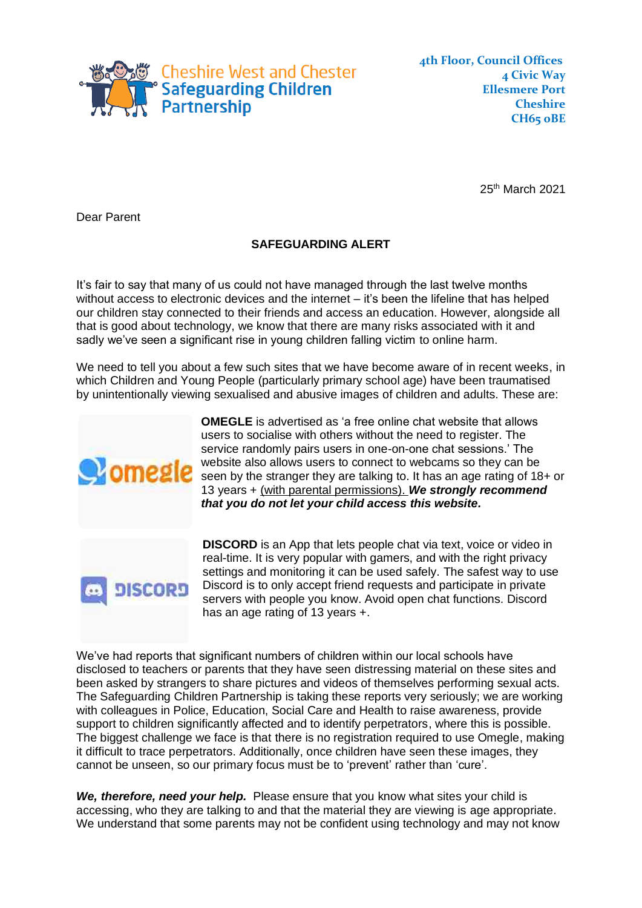

**4 Civic Way Ellesmere Port Cheshire CH65 0BE**

25<sup>th</sup> March 2021

Dear Parent

## **SAFEGUARDING ALERT**

It's fair to say that many of us could not have managed through the last twelve months without access to electronic devices and the internet – it's been the lifeline that has helped our children stay connected to their friends and access an education. However, alongside all that is good about technology, we know that there are many risks associated with it and sadly we've seen a significant rise in young children falling victim to online harm.

We need to tell you about a few such sites that we have become aware of in recent weeks, in which Children and Young People (particularly primary school age) have been traumatised by unintentionally viewing sexualised and abusive images of children and adults. These are:



**OMEGLE** is advertised as 'a free online chat website that allows users to socialise with others without the need to register. The service randomly pairs users in one-on-one chat sessions.' The website also allows users to connect to webcams so they can be seen by the stranger they are talking to. It has an age rating of 18+ or 13 years + (with parental permissions). *We strongly recommend that you do not let your child access this website.*



**DISCORD** is an App that lets people chat via text, voice or video in real-time. It is very popular with gamers, and with the right privacy settings and monitoring it can be used safely. The safest way to use Discord is to only accept friend requests and participate in private servers with people you know. Avoid open chat functions. Discord has an age rating of 13 years +.

We've had reports that significant numbers of children within our local schools have disclosed to teachers or parents that they have seen distressing material on these sites and been asked by strangers to share pictures and videos of themselves performing sexual acts. The Safeguarding Children Partnership is taking these reports very seriously; we are working with colleagues in Police, Education, Social Care and Health to raise awareness, provide support to children significantly affected and to identify perpetrators, where this is possible. The biggest challenge we face is that there is no registration required to use Omegle, making it difficult to trace perpetrators. Additionally, once children have seen these images, they cannot be unseen, so our primary focus must be to 'prevent' rather than 'cure'.

*We, therefore, need your help.* Please ensure that you know what sites your child is accessing, who they are talking to and that the material they are viewing is age appropriate. We understand that some parents may not be confident using technology and may not know